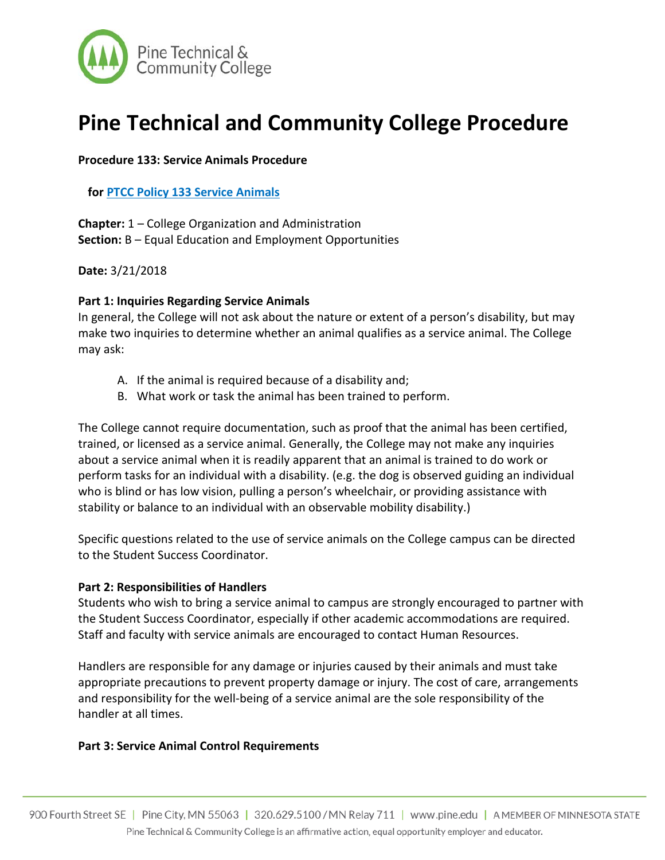

# **Pine Technical and Community College Procedure**

### **Procedure 133: Service Animals Procedure**

**for PTCC Policy 133 Service Animals**

**Chapter:** 1 – College Organization and Administration **Section:** B – Equal Education and Employment Opportunities

**Date:** 3/21/2018

#### **Part 1: Inquiries Regarding Service Animals**

In general, the College will not ask about the nature or extent of a person's disability, but may make two inquiries to determine whether an animal qualifies as a service animal. The College may ask:

- A. If the animal is required because of a disability and;
- B. What work or task the animal has been trained to perform.

The College cannot require documentation, such as proof that the animal has been certified, trained, or licensed as a service animal. Generally, the College may not make any inquiries about a service animal when it is readily apparent that an animal is trained to do work or perform tasks for an individual with a disability. (e.g. the dog is observed guiding an individual who is blind or has low vision, pulling a person's wheelchair, or providing assistance with stability or balance to an individual with an observable mobility disability.)

Specific questions related to the use of service animals on the College campus can be directed to the Student Success Coordinator.

#### **Part 2: Responsibilities of Handlers**

Students who wish to bring a service animal to campus are strongly encouraged to partner with the Student Success Coordinator, especially if other academic accommodations are required. Staff and faculty with service animals are encouraged to contact Human Resources.

Handlers are responsible for any damage or injuries caused by their animals and must take appropriate precautions to prevent property damage or injury. The cost of care, arrangements and responsibility for the well-being of a service animal are the sole responsibility of the handler at all times.

#### **Part 3: Service Animal Control Requirements**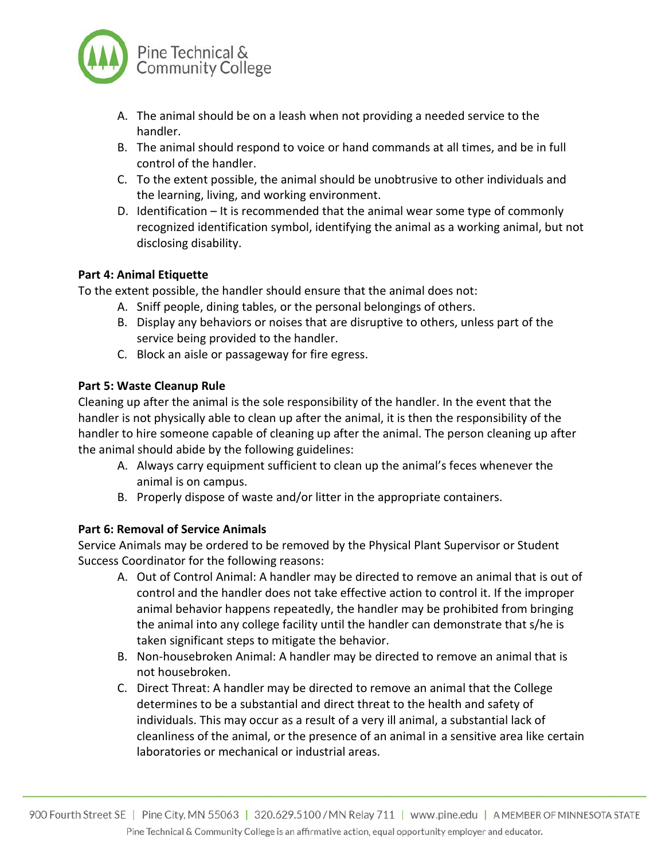

- A. The animal should be on a leash when not providing a needed service to the handler.
- B. The animal should respond to voice or hand commands at all times, and be in full control of the handler.
- C. To the extent possible, the animal should be unobtrusive to other individuals and the learning, living, and working environment.
- D. Identification It is recommended that the animal wear some type of commonly recognized identification symbol, identifying the animal as a working animal, but not disclosing disability.

# **Part 4: Animal Etiquette**

To the extent possible, the handler should ensure that the animal does not:

- A. Sniff people, dining tables, or the personal belongings of others.
- B. Display any behaviors or noises that are disruptive to others, unless part of the service being provided to the handler.
- C. Block an aisle or passageway for fire egress.

# **Part 5: Waste Cleanup Rule**

Cleaning up after the animal is the sole responsibility of the handler. In the event that the handler is not physically able to clean up after the animal, it is then the responsibility of the handler to hire someone capable of cleaning up after the animal. The person cleaning up after the animal should abide by the following guidelines:

- A. Always carry equipment sufficient to clean up the animal's feces whenever the animal is on campus.
- B. Properly dispose of waste and/or litter in the appropriate containers.

# **Part 6: Removal of Service Animals**

Service Animals may be ordered to be removed by the Physical Plant Supervisor or Student Success Coordinator for the following reasons:

- A. Out of Control Animal: A handler may be directed to remove an animal that is out of control and the handler does not take effective action to control it. If the improper animal behavior happens repeatedly, the handler may be prohibited from bringing the animal into any college facility until the handler can demonstrate that s/he is taken significant steps to mitigate the behavior.
- B. Non-housebroken Animal: A handler may be directed to remove an animal that is not housebroken.
- C. Direct Threat: A handler may be directed to remove an animal that the College determines to be a substantial and direct threat to the health and safety of individuals. This may occur as a result of a very ill animal, a substantial lack of cleanliness of the animal, or the presence of an animal in a sensitive area like certain laboratories or mechanical or industrial areas.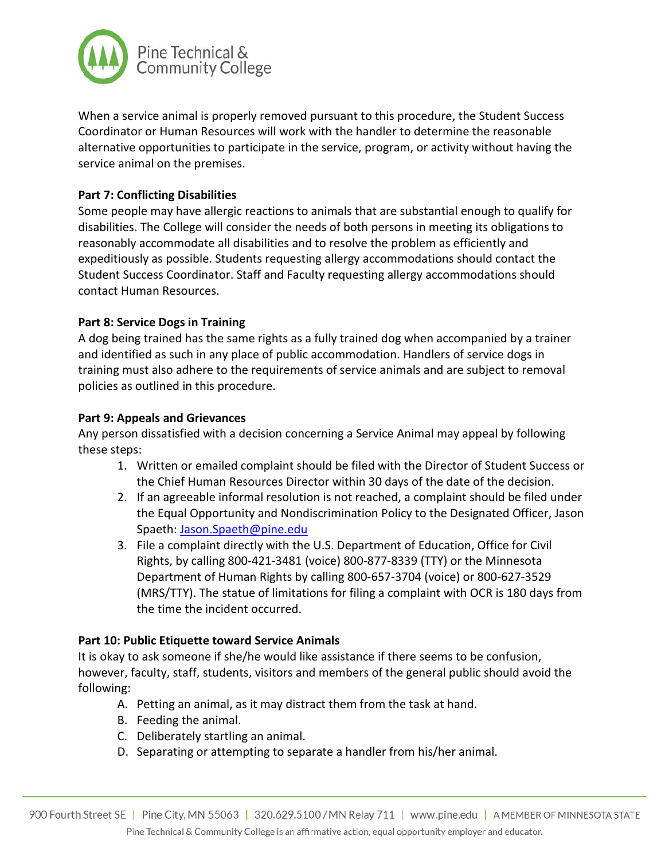

When a service animal is properly removed pursuant to this procedure, the Student Success Coordinator or Human Resources will work with the handler to determine the reasonable alternative opportunities to participate in the service, program, or activity without having the service animal on the premises.

# **Part 7: Conflicting Disabilities**

Some people may have allergic reactions to animals that are substantial enough to qualify for disabilities. The College will consider the needs of both persons in meeting its obligations to reasonably accommodate all disabilities and to resolve the problem as efficiently and expeditiously as possible. Students requesting allergy accommodations should contact the Student Success Coordinator. Staff and Faculty requesting allergy accommodations should contact Human Resources.

### **Part 8: Service Dogs in Training**

A dog being trained has the same rights as a fully trained dog when accompanied by a trainer and identified as such in any place of public accommodation. Handlers of service dogs in training must also adhere to the requirements of service animals and are subject to removal policies as outlined in this procedure.

### **Part 9: Appeals and Grievances**

Any person dissatisfied with a decision concerning a Service Animal may appeal by following these steps:

- 1. Written or emailed complaint should be filed with the Director of Student Success or the Chief Human Resources Director within 30 days of the date of the decision.
- 2. If an agreeable informal resolution is not reached, a complaint should be filed under the Equal Opportunity and Nondiscrimination Policy to the Designated Officer, Jason Spaeth: [Jason.Spaeth@pine.edu](mailto:Jason.Spaeth@pine.edu)
- 3. File a complaint directly with the U.S. Department of Education, Office for Civil Rights, by calling 800-421-3481 (voice) 800-877-8339 (TTY) or the Minnesota Department of Human Rights by calling 800-657-3704 (voice) or 800-627-3529 (MRS/TTY). The statue of limitations for filing a complaint with OCR is 180 days from the time the incident occurred.

# **Part 10: Public Etiquette toward Service Animals**

It is okay to ask someone if she/he would like assistance if there seems to be confusion, however, faculty, staff, students, visitors and members of the general public should avoid the following:

- A. Petting an animal, as it may distract them from the task at hand.
- B. Feeding the animal.
- C. Deliberately startling an animal.
- D. Separating or attempting to separate a handler from his/her animal.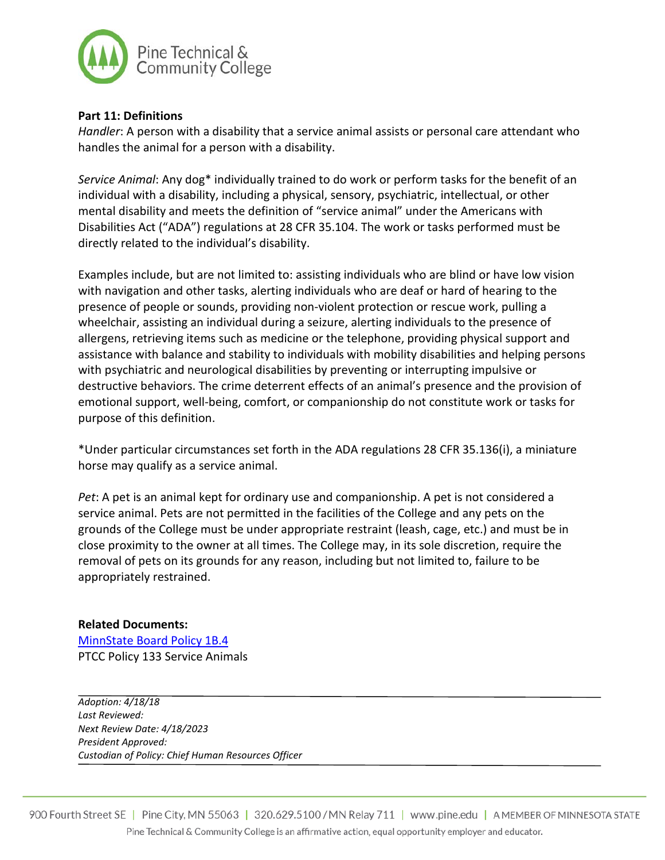

## **Part 11: Definitions**

*Handler*: A person with a disability that a service animal assists or personal care attendant who handles the animal for a person with a disability.

*Service Animal*: Any dog\* individually trained to do work or perform tasks for the benefit of an individual with a disability, including a physical, sensory, psychiatric, intellectual, or other mental disability and meets the definition of "service animal" under the Americans with Disabilities Act ("ADA") regulations at 28 CFR 35.104. The work or tasks performed must be directly related to the individual's disability.

Examples include, but are not limited to: assisting individuals who are blind or have low vision with navigation and other tasks, alerting individuals who are deaf or hard of hearing to the presence of people or sounds, providing non-violent protection or rescue work, pulling a wheelchair, assisting an individual during a seizure, alerting individuals to the presence of allergens, retrieving items such as medicine or the telephone, providing physical support and assistance with balance and stability to individuals with mobility disabilities and helping persons with psychiatric and neurological disabilities by preventing or interrupting impulsive or destructive behaviors. The crime deterrent effects of an animal's presence and the provision of emotional support, well-being, comfort, or companionship do not constitute work or tasks for purpose of this definition.

\*Under particular circumstances set forth in the ADA regulations 28 CFR 35.136(i), a miniature horse may qualify as a service animal.

*Pet*: A pet is an animal kept for ordinary use and companionship. A pet is not considered a service animal. Pets are not permitted in the facilities of the College and any pets on the grounds of the College must be under appropriate restraint (leash, cage, etc.) and must be in close proximity to the owner at all times. The College may, in its sole discretion, require the removal of pets on its grounds for any reason, including but not limited to, failure to be appropriately restrained.

#### **Related Documents:**

[MinnState Board Policy 1B.4](http://www.minnstate.edu/board/policy/1b04.html) PTCC Policy 133 Service Animals

*Adoption: 4/18/18 Last Reviewed: Next Review Date: 4/18/2023 President Approved: Custodian of Policy: Chief Human Resources Officer*

900 Fourth Street SE | Pine City, MN 55063 | 320.629.5100 / MN Relay 711 | www.pine.edu | AMEMBER OF MINNESOTA STATE Pine Technical & Community College is an affirmative action, equal opportunity employer and educator.